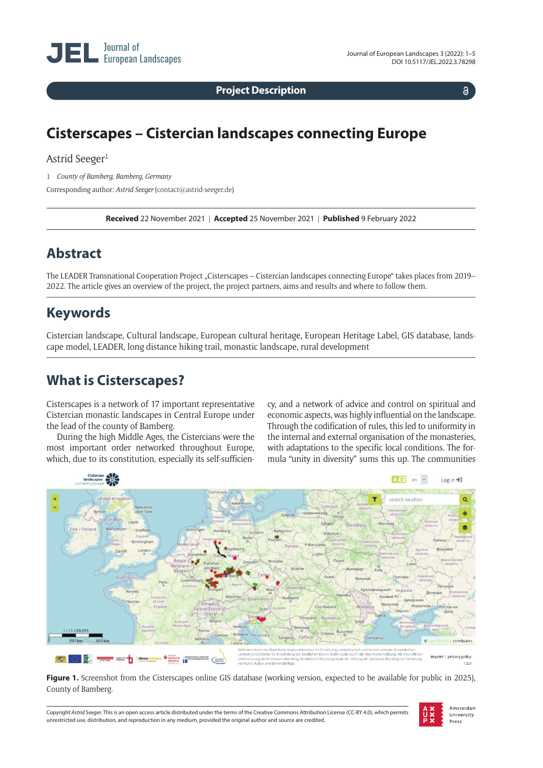**Project Description**

 $\delta$ 

# **Cisterscapes – Cistercian landscapes connecting Europe**

### Astrid Seeger<sup>1</sup>

1 *County of Bamberg, Bamberg, Germany*

Corresponding author: *Astrid Seeger* [\(contact@astrid-seeger.de](mailto:contact@astrid-seeger.de))

**Received** 22 November 2021 | **Accepted** 25 November 2021 | **Published** 9 February 2022

# **Abstract**

The LEADER Transnational Cooperation Project "Cisterscapes – Cistercian landscapes connecting Europe" takes places from 2019– 2022. The article gives an overview of the project, the project partners, aims and results and where to follow them.

# **Keywords**

Cistercian landscape, Cultural landscape, European cultural heritage, European Heritage Label, GIS database, landscape model, LEADER, long distance hiking trail, monastic landscape, rural development

# **What is Cisterscapes?**

Cisterscapes is a network of 17 important representative Cistercian monastic landscapes in Central Europe under the lead of the county of Bamberg.

During the high Middle Ages, the Cistercians were the most important order networked throughout Europe, which, due to its constitution, especially its self-sufficien-

cy, and a network of advice and control on spiritual and economic aspects, was highly influential on the landscape. Through the codification of rules, this led to uniformity in the internal and external organisation of the monasteries, with adaptations to the specific local conditions. The formula "unity in diversity" sums this up. The communities



Figure 1. Screenshot from the Cisterscapes online GIS database (working version, expected to be available for public in 2025), County of Bamberg.

Copyright *Astrid Seeger.* This is an open access article distributed under the terms of the Creative Commons Attribution License (CC-BY 4.0), which permits unrestricted use, distribution, and reproduction in any medium, provided the original author and source are credited.

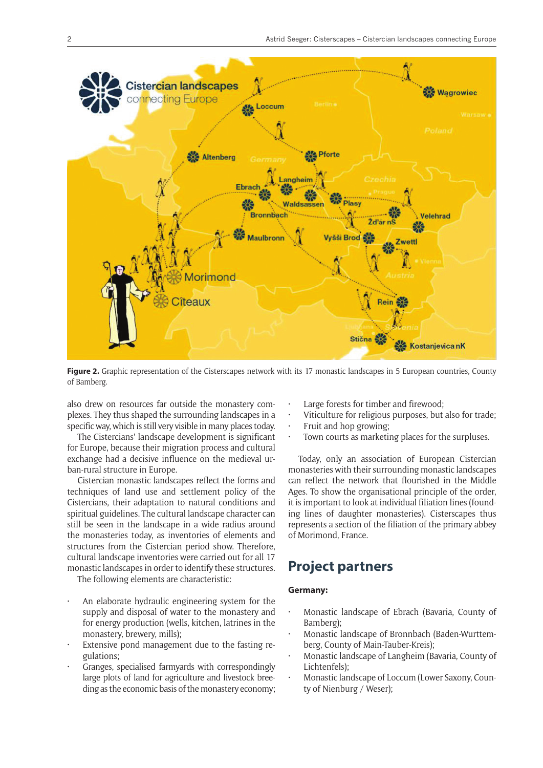

Figure 2. Graphic representation of the Cisterscapes network with its 17 monastic landscapes in 5 European countries, County of Bamberg.

also drew on resources far outside the monastery complexes. They thus shaped the surrounding landscapes in a specific way, which is still very visible in many places today.

The Cistercians' landscape development is significant for Europe, because their migration process and cultural exchange had a decisive influence on the medieval urban-rural structure in Europe.

Cistercian monastic landscapes reflect the forms and techniques of land use and settlement policy of the Cistercians, their adaptation to natural conditions and spiritual guidelines. The cultural landscape character can still be seen in the landscape in a wide radius around the monasteries today, as inventories of elements and structures from the Cistercian period show. Therefore, cultural landscape inventories were carried out for all 17 monastic landscapes in order to identify these structures.

The following elements are characteristic:

- An elaborate hydraulic engineering system for the supply and disposal of water to the monastery and for energy production (wells, kitchen, latrines in the monastery, brewery, mills);
- Extensive pond management due to the fasting regulations;
- Granges, specialised farmyards with correspondingly large plots of land for agriculture and livestock breeding as the economic basis of the monastery economy;
- Large forests for timber and firewood;
- Viticulture for religious purposes, but also for trade;
- Fruit and hop growing;
- Town courts as marketing places for the surpluses.

Today, only an association of European Cistercian monasteries with their surrounding monastic landscapes can reflect the network that flourished in the Middle Ages. To show the organisational principle of the order, it is important to look at individual filiation lines (founding lines of daughter monasteries). Cisterscapes thus represents a section of the filiation of the primary abbey of Morimond, France.

## **Project partners**

#### **Germany:**

- Monastic landscape of Ebrach (Bavaria, County of Bamberg);
- Monastic landscape of Bronnbach (Baden-Wurttemberg, County of Main-Tauber-Kreis);
- Monastic landscape of Langheim (Bavaria, County of Lichtenfels);
- Monastic landscape of Loccum (Lower Saxony, County of Nienburg / Weser);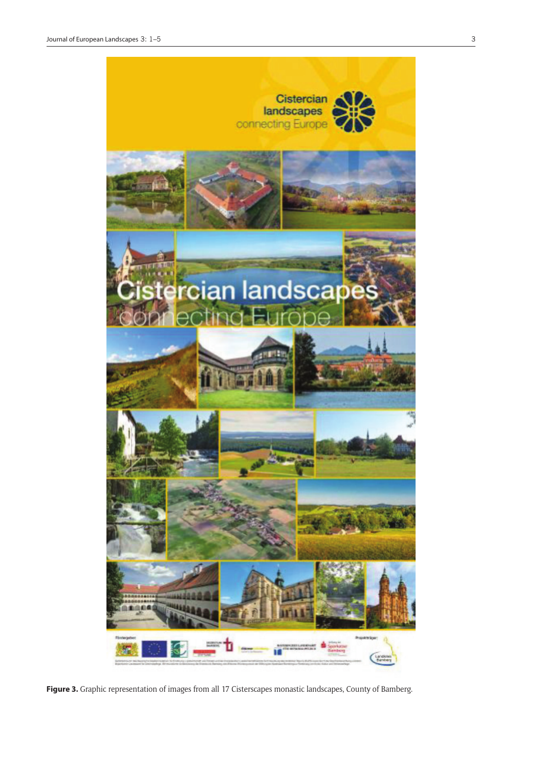

**Figure 3.** Graphic representation of images from all 17 Cisterscapes monastic landscapes, County of Bamberg.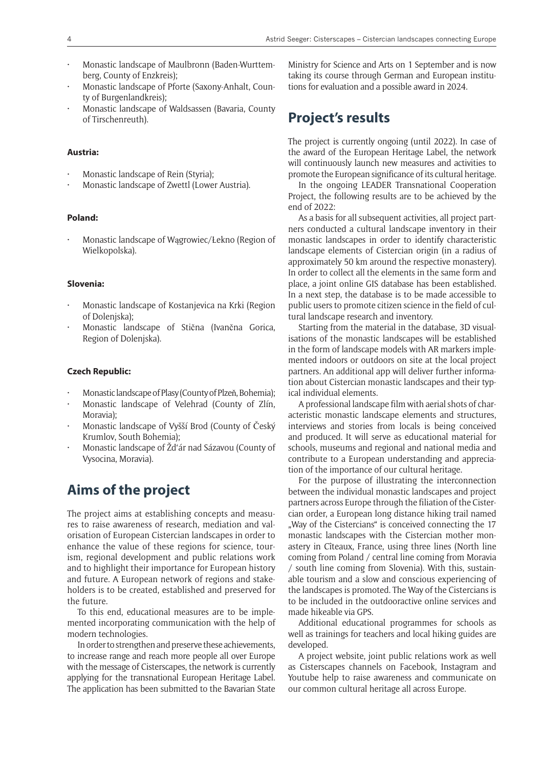- Monastic landscape of Maulbronn (Baden-Wurttemberg, County of Enzkreis);
- Monastic landscape of Pforte (Saxony-Anhalt, County of Burgenlandkreis);
- Monastic landscape of Waldsassen (Bavaria, County of Tirschenreuth).

### **Austria:**

- Monastic landscape of Rein (Styria);
- Monastic landscape of Zwettl (Lower Austria).

### **Poland:**

• Monastic landscape of Wągrowiec/Łekno (Region of Wielkopolska).

### **Slovenia:**

- Monastic landscape of Kostanjevica na Krki (Region of Dolenjska);
- Monastic landscape of Stična (Ivančna Gorica, Region of Dolenjska).

#### **Czech Republic:**

- Monastic landscape of Plasy (County of Plzeň, Bohemia);
- Monastic landscape of Velehrad (County of Zlín, Moravia);
- Monastic landscape of Vyšší Brod (County of Český Krumlov, South Bohemia);
- Monastic landscape of Žd'ár nad Sázavou (County of Vysocina, Moravia).

## **Aims of the project**

The project aims at establishing concepts and measures to raise awareness of research, mediation and valorisation of European Cistercian landscapes in order to enhance the value of these regions for science, tourism, regional development and public relations work and to highlight their importance for European history and future. A European network of regions and stakeholders is to be created, established and preserved for the future.

To this end, educational measures are to be implemented incorporating communication with the help of modern technologies.

In order to strengthen and preserve these achievements, to increase range and reach more people all over Europe with the message of Cisterscapes, the network is currently applying for the transnational European Heritage Label. The application has been submitted to the Bavarian State

Ministry for Science and Arts on 1 September and is now taking its course through German and European institutions for evaluation and a possible award in 2024.

## **Project's results**

The project is currently ongoing (until 2022). In case of the award of the European Heritage Label, the network will continuously launch new measures and activities to promote the European significance of its cultural heritage.

In the ongoing LEADER Transnational Cooperation Project, the following results are to be achieved by the end of 2022:

As a basis for all subsequent activities, all project partners conducted a cultural landscape inventory in their monastic landscapes in order to identify characteristic landscape elements of Cistercian origin (in a radius of approximately 50 km around the respective monastery). In order to collect all the elements in the same form and place, a joint online GIS database has been established. In a next step, the database is to be made accessible to public users to promote citizen science in the field of cultural landscape research and inventory.

Starting from the material in the database, 3D visualisations of the monastic landscapes will be established in the form of landscape models with AR markers implemented indoors or outdoors on site at the local project partners. An additional app will deliver further information about Cistercian monastic landscapes and their typical individual elements.

A professional landscape film with aerial shots of characteristic monastic landscape elements and structures, interviews and stories from locals is being conceived and produced. It will serve as educational material for schools, museums and regional and national media and contribute to a European understanding and appreciation of the importance of our cultural heritage.

For the purpose of illustrating the interconnection between the individual monastic landscapes and project partners across Europe through the filiation of the Cistercian order, a European long distance hiking trail named ". Way of the Cistercians" is conceived connecting the 17 monastic landscapes with the Cistercian mother monastery in Cîteaux, France, using three lines (North line coming from Poland / central line coming from Moravia / south line coming from Slovenia). With this, sustainable tourism and a slow and conscious experiencing of the landscapes is promoted. The Way of the Cistercians is to be included in the outdooractive online services and made hikeable via GPS.

Additional educational programmes for schools as well as trainings for teachers and local hiking guides are developed.

A project website, joint public relations work as well as Cisterscapes channels on Facebook, Instagram and Youtube help to raise awareness and communicate on our common cultural heritage all across Europe.